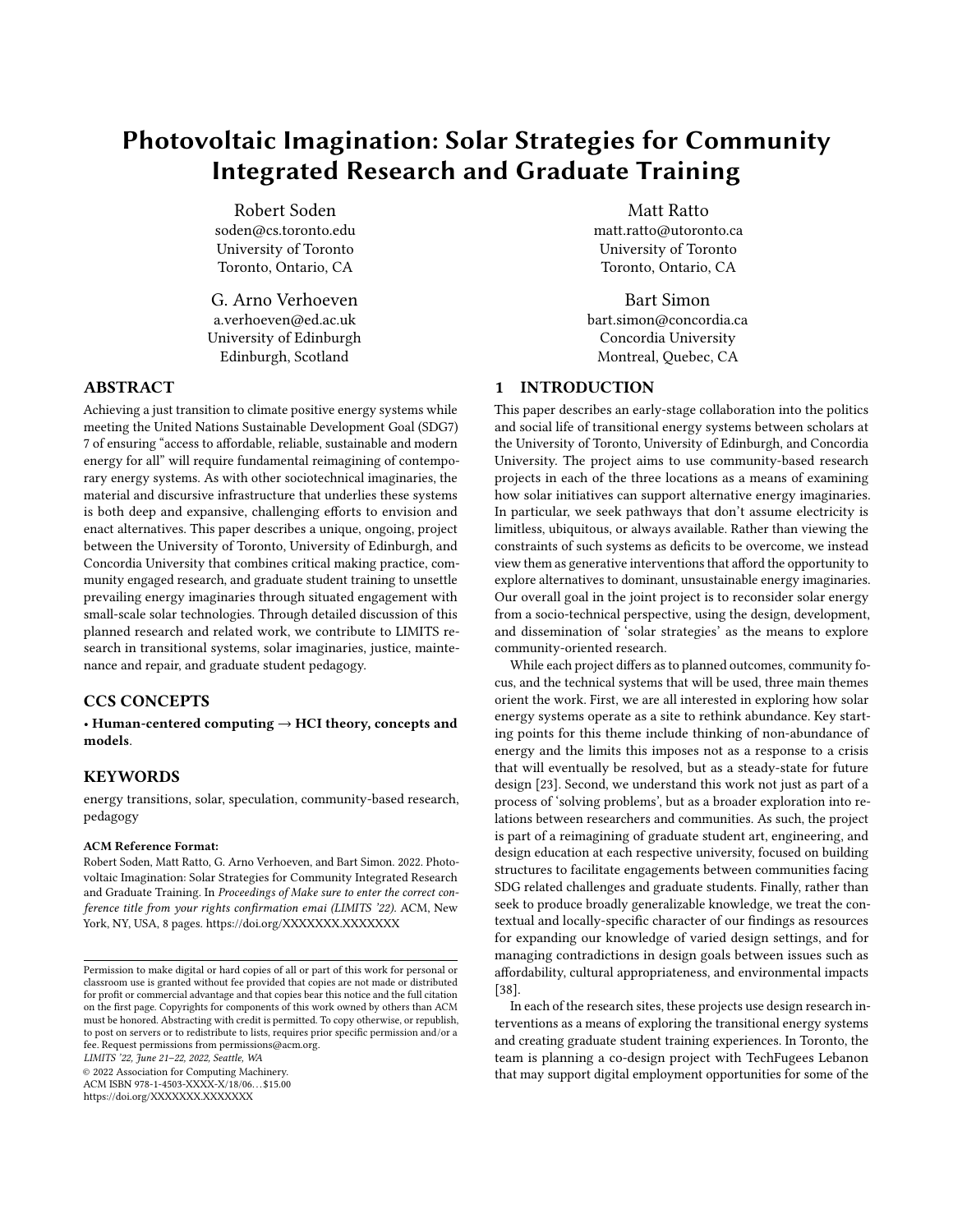# Photovoltaic Imagination: Solar Strategies for Community Integrated Research and Graduate Training

Robert Soden soden@cs.toronto.edu University of Toronto Toronto, Ontario, CA

G. Arno Verhoeven a.verhoeven@ed.ac.uk University of Edinburgh Edinburgh, Scotland

## ABSTRACT

Achieving a just transition to climate positive energy systems while meeting the United Nations Sustainable Development Goal (SDG7) 7 of ensuring "access to affordable, reliable, sustainable and modern energy for all" will require fundamental reimagining of contemporary energy systems. As with other sociotechnical imaginaries, the material and discursive infrastructure that underlies these systems is both deep and expansive, challenging efforts to envision and enact alternatives. This paper describes a unique, ongoing, project between the University of Toronto, University of Edinburgh, and Concordia University that combines critical making practice, community engaged research, and graduate student training to unsettle prevailing energy imaginaries through situated engagement with small-scale solar technologies. Through detailed discussion of this planned research and related work, we contribute to LIMITS research in transitional systems, solar imaginaries, justice, maintenance and repair, and graduate student pedagogy.

# CCS CONCEPTS

• Human-centered computing  $\rightarrow$  HCI theory, concepts and models.

# **KEYWORDS**

energy transitions, solar, speculation, community-based research, pedagogy

#### ACM Reference Format:

Robert Soden, Matt Ratto, G. Arno Verhoeven, and Bart Simon. 2022. Photovoltaic Imagination: Solar Strategies for Community Integrated Research and Graduate Training. In Proceedings of Make sure to enter the correct conference title from your rights confirmation emai (LIMITS '22). ACM, New York, NY, USA, [8](#page-7-0) pages.<https://doi.org/XXXXXXX.XXXXXXX>X

LIMITS '22, June 21–22, 2022, Seattle, WA

© 2022 Association for Computing Machinery.

ACM ISBN 978-1-4503-XXXX-X/18/06. . . \$15.00 <https://doi.org/XXXXXXX.XXXXXXX>

Matt Ratto matt.ratto@utoronto.ca University of Toronto Toronto, Ontario, CA

Bart Simon bart.simon@concordia.ca Concordia University Montreal, Quebec, CA

# 1 INTRODUCTION

This paper describes an early-stage collaboration into the politics and social life of transitional energy systems between scholars at the University of Toronto, University of Edinburgh, and Concordia University. The project aims to use community-based research projects in each of the three locations as a means of examining how solar initiatives can support alternative energy imaginaries. In particular, we seek pathways that don't assume electricity is limitless, ubiquitous, or always available. Rather than viewing the constraints of such systems as deficits to be overcome, we instead view them as generative interventions that afford the opportunity to explore alternatives to dominant, unsustainable energy imaginaries. Our overall goal in the joint project is to reconsider solar energy from a socio-technical perspective, using the design, development, and dissemination of 'solar strategies' as the means to explore community-oriented research.

While each project differs as to planned outcomes, community focus, and the technical systems that will be used, three main themes orient the work. First, we are all interested in exploring how solar energy systems operate as a site to rethink abundance. Key starting points for this theme include thinking of non-abundance of energy and the limits this imposes not as a response to a crisis that will eventually be resolved, but as a steady-state for future design [\[23\]](#page-7-1). Second, we understand this work not just as part of a process of 'solving problems', but as a broader exploration into relations between researchers and communities. As such, the project is part of a reimagining of graduate student art, engineering, and design education at each respective university, focused on building structures to facilitate engagements between communities facing SDG related challenges and graduate students. Finally, rather than seek to produce broadly generalizable knowledge, we treat the contextual and locally-specific character of our findings as resources for expanding our knowledge of varied design settings, and for managing contradictions in design goals between issues such as affordability, cultural appropriateness, and environmental impacts [\[38\]](#page-7-2).

In each of the research sites, these projects use design research interventions as a means of exploring the transitional energy systems and creating graduate student training experiences. In Toronto, the team is planning a co-design project with TechFugees Lebanon that may support digital employment opportunities for some of the

Permission to make digital or hard copies of all or part of this work for personal or classroom use is granted without fee provided that copies are not made or distributed for profit or commercial advantage and that copies bear this notice and the full citation on the first page. Copyrights for components of this work owned by others than ACM must be honored. Abstracting with credit is permitted. To copy otherwise, or republish, to post on servers or to redistribute to lists, requires prior specific permission and/or a fee. Request permissions from permissions@acm.org.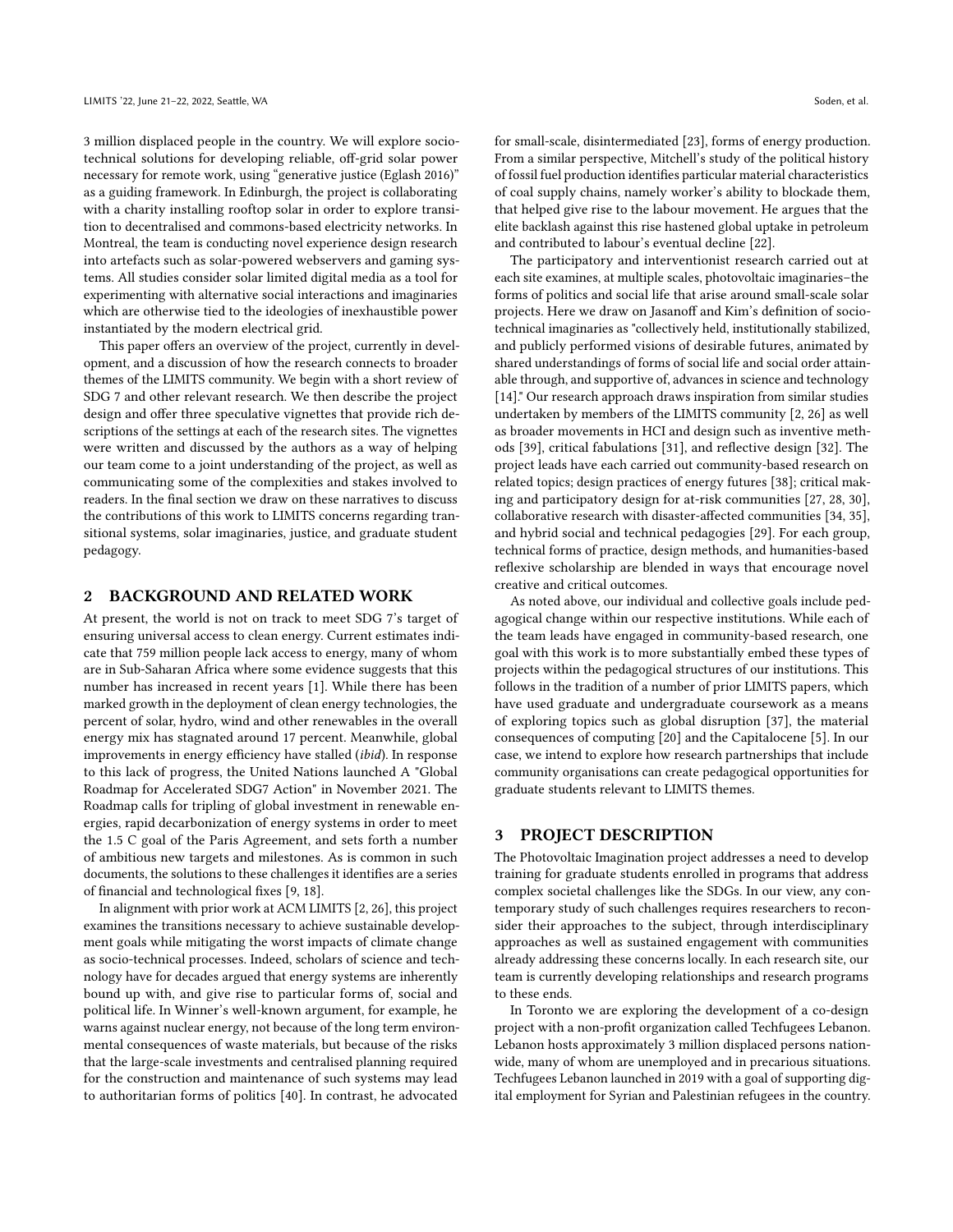3 million displaced people in the country. We will explore sociotechnical solutions for developing reliable, off-grid solar power necessary for remote work, using "generative justice (Eglash 2016)" as a guiding framework. In Edinburgh, the project is collaborating with a charity installing rooftop solar in order to explore transition to decentralised and commons-based electricity networks. In Montreal, the team is conducting novel experience design research into artefacts such as solar-powered webservers and gaming systems. All studies consider solar limited digital media as a tool for experimenting with alternative social interactions and imaginaries which are otherwise tied to the ideologies of inexhaustible power instantiated by the modern electrical grid.

This paper offers an overview of the project, currently in development, and a discussion of how the research connects to broader themes of the LIMITS community. We begin with a short review of SDG 7 and other relevant research. We then describe the project design and offer three speculative vignettes that provide rich descriptions of the settings at each of the research sites. The vignettes were written and discussed by the authors as a way of helping our team come to a joint understanding of the project, as well as communicating some of the complexities and stakes involved to readers. In the final section we draw on these narratives to discuss the contributions of this work to LIMITS concerns regarding transitional systems, solar imaginaries, justice, and graduate student pedagogy.

#### 2 BACKGROUND AND RELATED WORK

At present, the world is not on track to meet SDG 7's target of ensuring universal access to clean energy. Current estimates indicate that 759 million people lack access to energy, many of whom are in Sub-Saharan Africa where some evidence suggests that this number has increased in recent years [\[1\]](#page-7-3). While there has been marked growth in the deployment of clean energy technologies, the percent of solar, hydro, wind and other renewables in the overall energy mix has stagnated around 17 percent. Meanwhile, global improvements in energy efficiency have stalled (ibid). In response to this lack of progress, the United Nations launched A "Global Roadmap for Accelerated SDG7 Action" in November 2021. The Roadmap calls for tripling of global investment in renewable energies, rapid decarbonization of energy systems in order to meet the 1.5 C goal of the Paris Agreement, and sets forth a number of ambitious new targets and milestones. As is common in such documents, the solutions to these challenges it identifies are a series of financial and technological fixes [\[9,](#page-7-4) [18\]](#page-7-5).

In alignment with prior work at ACM LIMITS [\[2,](#page-7-6) [26\]](#page-7-7), this project examines the transitions necessary to achieve sustainable development goals while mitigating the worst impacts of climate change as socio-technical processes. Indeed, scholars of science and technology have for decades argued that energy systems are inherently bound up with, and give rise to particular forms of, social and political life. In Winner's well-known argument, for example, he warns against nuclear energy, not because of the long term environmental consequences of waste materials, but because of the risks that the large-scale investments and centralised planning required for the construction and maintenance of such systems may lead to authoritarian forms of politics [\[40\]](#page-7-8). In contrast, he advocated

for small-scale, disintermediated [\[23\]](#page-7-1), forms of energy production. From a similar perspective, Mitchell's study of the political history of fossil fuel production identifies particular material characteristics of coal supply chains, namely worker's ability to blockade them, that helped give rise to the labour movement. He argues that the elite backlash against this rise hastened global uptake in petroleum and contributed to labour's eventual decline [\[22\]](#page-7-9).

The participatory and interventionist research carried out at each site examines, at multiple scales, photovoltaic imaginaries–the forms of politics and social life that arise around small-scale solar projects. Here we draw on Jasanoff and Kim's definition of sociotechnical imaginaries as "collectively held, institutionally stabilized, and publicly performed visions of desirable futures, animated by shared understandings of forms of social life and social order attainable through, and supportive of, advances in science and technology [\[14\]](#page-7-10)." Our research approach draws inspiration from similar studies undertaken by members of the LIMITS community [\[2,](#page-7-6) [26\]](#page-7-7) as well as broader movements in HCI and design such as inventive methods [\[39\]](#page-7-11), critical fabulations [\[31\]](#page-7-12), and reflective design [\[32\]](#page-7-13). The project leads have each carried out community-based research on related topics; design practices of energy futures [\[38\]](#page-7-2); critical making and participatory design for at-risk communities [\[27,](#page-7-14) [28,](#page-7-15) [30\]](#page-7-16), collaborative research with disaster-affected communities [\[34,](#page-7-17) [35\]](#page-7-18), and hybrid social and technical pedagogies [\[29\]](#page-7-19). For each group, technical forms of practice, design methods, and humanities-based reflexive scholarship are blended in ways that encourage novel creative and critical outcomes.

As noted above, our individual and collective goals include pedagogical change within our respective institutions. While each of the team leads have engaged in community-based research, one goal with this work is to more substantially embed these types of projects within the pedagogical structures of our institutions. This follows in the tradition of a number of prior LIMITS papers, which have used graduate and undergraduate coursework as a means of exploring topics such as global disruption [\[37\]](#page-7-20), the material consequences of computing [\[20\]](#page-7-21) and the Capitalocene [\[5\]](#page-7-22). In our case, we intend to explore how research partnerships that include community organisations can create pedagogical opportunities for graduate students relevant to LIMITS themes.

## 3 PROJECT DESCRIPTION

The Photovoltaic Imagination project addresses a need to develop training for graduate students enrolled in programs that address complex societal challenges like the SDGs. In our view, any contemporary study of such challenges requires researchers to reconsider their approaches to the subject, through interdisciplinary approaches as well as sustained engagement with communities already addressing these concerns locally. In each research site, our team is currently developing relationships and research programs to these ends.

In Toronto we are exploring the development of a co-design project with a non-profit organization called Techfugees Lebanon. Lebanon hosts approximately 3 million displaced persons nationwide, many of whom are unemployed and in precarious situations. Techfugees Lebanon launched in 2019 with a goal of supporting digital employment for Syrian and Palestinian refugees in the country.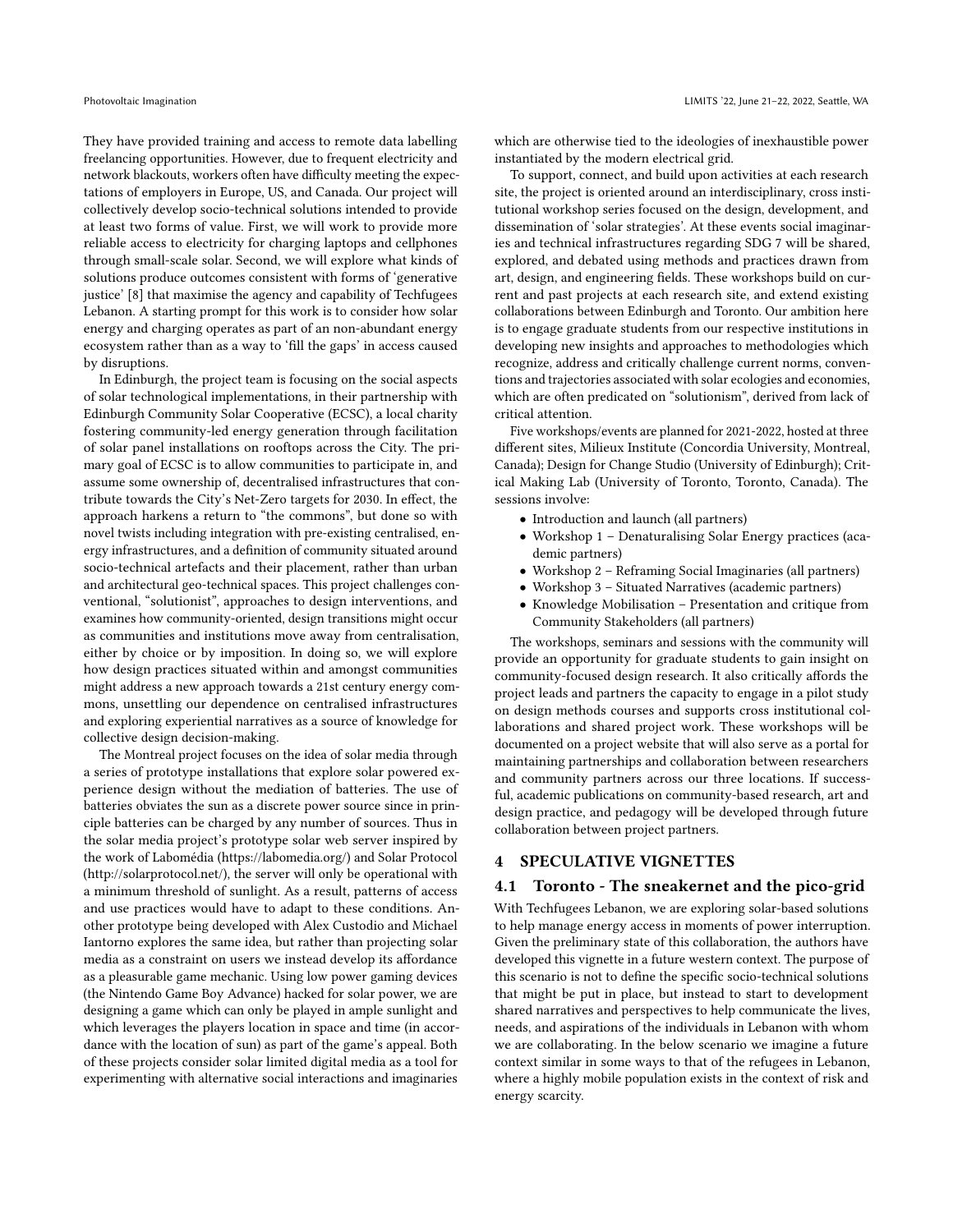They have provided training and access to remote data labelling freelancing opportunities. However, due to frequent electricity and network blackouts, workers often have difficulty meeting the expectations of employers in Europe, US, and Canada. Our project will collectively develop socio-technical solutions intended to provide at least two forms of value. First, we will work to provide more reliable access to electricity for charging laptops and cellphones through small-scale solar. Second, we will explore what kinds of solutions produce outcomes consistent with forms of 'generative justice' [\[8\]](#page-7-23) that maximise the agency and capability of Techfugees Lebanon. A starting prompt for this work is to consider how solar energy and charging operates as part of an non-abundant energy ecosystem rather than as a way to 'fill the gaps' in access caused by disruptions.

In Edinburgh, the project team is focusing on the social aspects of solar technological implementations, in their partnership with Edinburgh Community Solar Cooperative (ECSC), a local charity fostering community-led energy generation through facilitation of solar panel installations on rooftops across the City. The primary goal of ECSC is to allow communities to participate in, and assume some ownership of, decentralised infrastructures that contribute towards the City's Net-Zero targets for 2030. In effect, the approach harkens a return to "the commons", but done so with novel twists including integration with pre-existing centralised, energy infrastructures, and a definition of community situated around socio-technical artefacts and their placement, rather than urban and architectural geo-technical spaces. This project challenges conventional, "solutionist", approaches to design interventions, and examines how community-oriented, design transitions might occur as communities and institutions move away from centralisation, either by choice or by imposition. In doing so, we will explore how design practices situated within and amongst communities might address a new approach towards a 21st century energy commons, unsettling our dependence on centralised infrastructures and exploring experiential narratives as a source of knowledge for collective design decision-making.

The Montreal project focuses on the idea of solar media through a series of prototype installations that explore solar powered experience design without the mediation of batteries. The use of batteries obviates the sun as a discrete power source since in principle batteries can be charged by any number of sources. Thus in the solar media project's prototype solar web server inspired by the work of Labomédia (https://labomedia.org/) and Solar Protocol (http://solarprotocol.net/), the server will only be operational with a minimum threshold of sunlight. As a result, patterns of access and use practices would have to adapt to these conditions. Another prototype being developed with Alex Custodio and Michael Iantorno explores the same idea, but rather than projecting solar media as a constraint on users we instead develop its affordance as a pleasurable game mechanic. Using low power gaming devices (the Nintendo Game Boy Advance) hacked for solar power, we are designing a game which can only be played in ample sunlight and which leverages the players location in space and time (in accordance with the location of sun) as part of the game's appeal. Both of these projects consider solar limited digital media as a tool for experimenting with alternative social interactions and imaginaries

which are otherwise tied to the ideologies of inexhaustible power instantiated by the modern electrical grid.

To support, connect, and build upon activities at each research site, the project is oriented around an interdisciplinary, cross institutional workshop series focused on the design, development, and dissemination of 'solar strategies'. At these events social imaginaries and technical infrastructures regarding SDG 7 will be shared, explored, and debated using methods and practices drawn from art, design, and engineering fields. These workshops build on current and past projects at each research site, and extend existing collaborations between Edinburgh and Toronto. Our ambition here is to engage graduate students from our respective institutions in developing new insights and approaches to methodologies which recognize, address and critically challenge current norms, conventions and trajectories associated with solar ecologies and economies, which are often predicated on "solutionism", derived from lack of critical attention.

Five workshops/events are planned for 2021-2022, hosted at three different sites, Milieux Institute (Concordia University, Montreal, Canada); Design for Change Studio (University of Edinburgh); Critical Making Lab (University of Toronto, Toronto, Canada). The sessions involve:

- Introduction and launch (all partners)
- Workshop 1 Denaturalising Solar Energy practices (academic partners)
- Workshop 2 Reframing Social Imaginaries (all partners)
- Workshop 3 Situated Narratives (academic partners)
- Knowledge Mobilisation Presentation and critique from Community Stakeholders (all partners)

The workshops, seminars and sessions with the community will provide an opportunity for graduate students to gain insight on community-focused design research. It also critically affords the project leads and partners the capacity to engage in a pilot study on design methods courses and supports cross institutional collaborations and shared project work. These workshops will be documented on a project website that will also serve as a portal for maintaining partnerships and collaboration between researchers and community partners across our three locations. If successful, academic publications on community-based research, art and design practice, and pedagogy will be developed through future collaboration between project partners.

## 4 SPECULATIVE VIGNETTES

# 4.1 Toronto - The sneakernet and the pico-grid

With Techfugees Lebanon, we are exploring solar-based solutions to help manage energy access in moments of power interruption. Given the preliminary state of this collaboration, the authors have developed this vignette in a future western context. The purpose of this scenario is not to define the specific socio-technical solutions that might be put in place, but instead to start to development shared narratives and perspectives to help communicate the lives, needs, and aspirations of the individuals in Lebanon with whom we are collaborating. In the below scenario we imagine a future context similar in some ways to that of the refugees in Lebanon, where a highly mobile population exists in the context of risk and energy scarcity.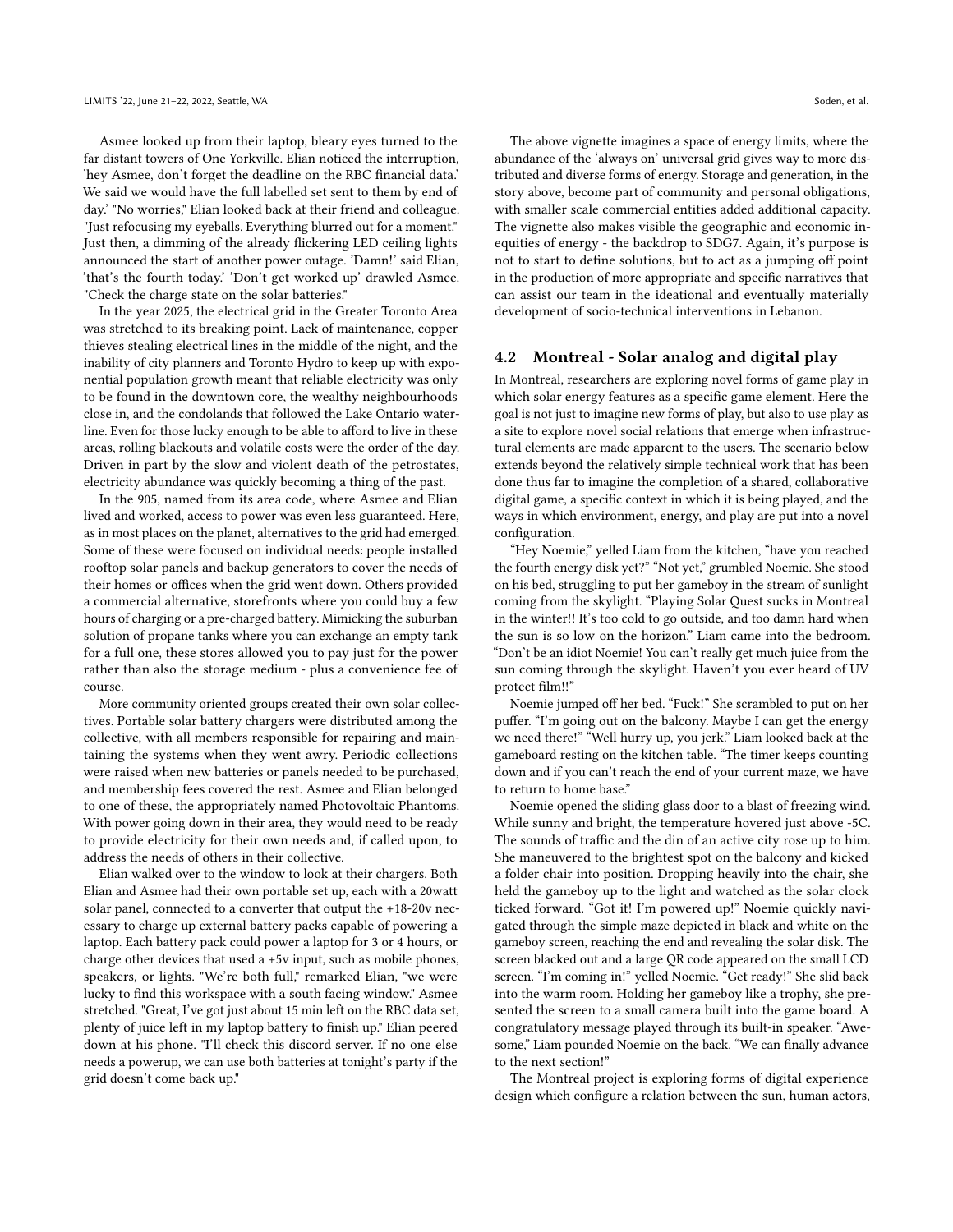Asmee looked up from their laptop, bleary eyes turned to the far distant towers of One Yorkville. Elian noticed the interruption, 'hey Asmee, don't forget the deadline on the RBC financial data.' We said we would have the full labelled set sent to them by end of day.' "No worries," Elian looked back at their friend and colleague. "Just refocusing my eyeballs. Everything blurred out for a moment." Just then, a dimming of the already flickering LED ceiling lights announced the start of another power outage. 'Damn!' said Elian, 'that's the fourth today.' 'Don't get worked up' drawled Asmee. "Check the charge state on the solar batteries."

In the year 2025, the electrical grid in the Greater Toronto Area was stretched to its breaking point. Lack of maintenance, copper thieves stealing electrical lines in the middle of the night, and the inability of city planners and Toronto Hydro to keep up with exponential population growth meant that reliable electricity was only to be found in the downtown core, the wealthy neighbourhoods close in, and the condolands that followed the Lake Ontario waterline. Even for those lucky enough to be able to afford to live in these areas, rolling blackouts and volatile costs were the order of the day. Driven in part by the slow and violent death of the petrostates, electricity abundance was quickly becoming a thing of the past.

In the 905, named from its area code, where Asmee and Elian lived and worked, access to power was even less guaranteed. Here, as in most places on the planet, alternatives to the grid had emerged. Some of these were focused on individual needs: people installed rooftop solar panels and backup generators to cover the needs of their homes or offices when the grid went down. Others provided a commercial alternative, storefronts where you could buy a few hours of charging or a pre-charged battery. Mimicking the suburban solution of propane tanks where you can exchange an empty tank for a full one, these stores allowed you to pay just for the power rather than also the storage medium - plus a convenience fee of course.

More community oriented groups created their own solar collectives. Portable solar battery chargers were distributed among the collective, with all members responsible for repairing and maintaining the systems when they went awry. Periodic collections were raised when new batteries or panels needed to be purchased, and membership fees covered the rest. Asmee and Elian belonged to one of these, the appropriately named Photovoltaic Phantoms. With power going down in their area, they would need to be ready to provide electricity for their own needs and, if called upon, to address the needs of others in their collective.

Elian walked over to the window to look at their chargers. Both Elian and Asmee had their own portable set up, each with a 20watt solar panel, connected to a converter that output the +18-20v necessary to charge up external battery packs capable of powering a laptop. Each battery pack could power a laptop for 3 or 4 hours, or charge other devices that used a +5v input, such as mobile phones, speakers, or lights. "We're both full," remarked Elian, "we were lucky to find this workspace with a south facing window." Asmee stretched. "Great, I've got just about 15 min left on the RBC data set, plenty of juice left in my laptop battery to finish up." Elian peered down at his phone. "I'll check this discord server. If no one else needs a powerup, we can use both batteries at tonight's party if the grid doesn't come back up."

The above vignette imagines a space of energy limits, where the abundance of the 'always on' universal grid gives way to more distributed and diverse forms of energy. Storage and generation, in the story above, become part of community and personal obligations, with smaller scale commercial entities added additional capacity. The vignette also makes visible the geographic and economic inequities of energy - the backdrop to SDG7. Again, it's purpose is not to start to define solutions, but to act as a jumping off point in the production of more appropriate and specific narratives that can assist our team in the ideational and eventually materially development of socio-technical interventions in Lebanon.

## 4.2 Montreal - Solar analog and digital play

In Montreal, researchers are exploring novel forms of game play in which solar energy features as a specific game element. Here the goal is not just to imagine new forms of play, but also to use play as a site to explore novel social relations that emerge when infrastructural elements are made apparent to the users. The scenario below extends beyond the relatively simple technical work that has been done thus far to imagine the completion of a shared, collaborative digital game, a specific context in which it is being played, and the ways in which environment, energy, and play are put into a novel configuration.

"Hey Noemie," yelled Liam from the kitchen, "have you reached the fourth energy disk yet?" "Not yet," grumbled Noemie. She stood on his bed, struggling to put her gameboy in the stream of sunlight coming from the skylight. "Playing Solar Quest sucks in Montreal in the winter!! It's too cold to go outside, and too damn hard when the sun is so low on the horizon." Liam came into the bedroom. "Don't be an idiot Noemie! You can't really get much juice from the sun coming through the skylight. Haven't you ever heard of UV protect film!!"

Noemie jumped off her bed. "Fuck!" She scrambled to put on her puffer. "I'm going out on the balcony. Maybe I can get the energy we need there!" "Well hurry up, you jerk." Liam looked back at the gameboard resting on the kitchen table. "The timer keeps counting down and if you can't reach the end of your current maze, we have to return to home base."

Noemie opened the sliding glass door to a blast of freezing wind. While sunny and bright, the temperature hovered just above -5C. The sounds of traffic and the din of an active city rose up to him. She maneuvered to the brightest spot on the balcony and kicked a folder chair into position. Dropping heavily into the chair, she held the gameboy up to the light and watched as the solar clock ticked forward. "Got it! I'm powered up!" Noemie quickly navigated through the simple maze depicted in black and white on the gameboy screen, reaching the end and revealing the solar disk. The screen blacked out and a large QR code appeared on the small LCD screen. "I'm coming in!" yelled Noemie. "Get ready!" She slid back into the warm room. Holding her gameboy like a trophy, she presented the screen to a small camera built into the game board. A congratulatory message played through its built-in speaker. "Awesome," Liam pounded Noemie on the back. "We can finally advance to the next section!"

The Montreal project is exploring forms of digital experience design which configure a relation between the sun, human actors,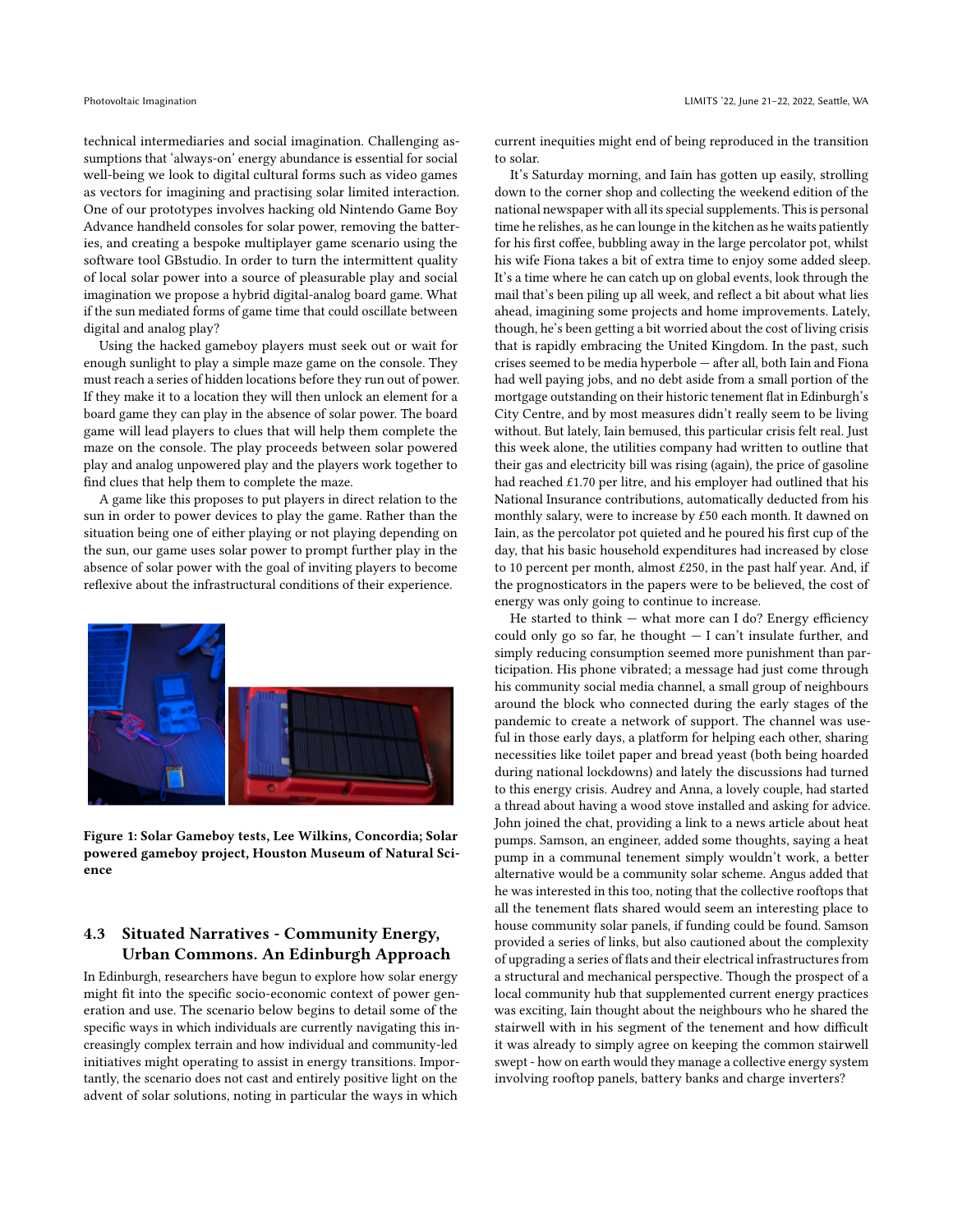technical intermediaries and social imagination. Challenging assumptions that 'always-on' energy abundance is essential for social well-being we look to digital cultural forms such as video games as vectors for imagining and practising solar limited interaction. One of our prototypes involves hacking old Nintendo Game Boy Advance handheld consoles for solar power, removing the batteries, and creating a bespoke multiplayer game scenario using the software tool GBstudio. In order to turn the intermittent quality of local solar power into a source of pleasurable play and social imagination we propose a hybrid digital-analog board game. What if the sun mediated forms of game time that could oscillate between digital and analog play?

Using the hacked gameboy players must seek out or wait for enough sunlight to play a simple maze game on the console. They must reach a series of hidden locations before they run out of power. If they make it to a location they will then unlock an element for a board game they can play in the absence of solar power. The board game will lead players to clues that will help them complete the maze on the console. The play proceeds between solar powered play and analog unpowered play and the players work together to find clues that help them to complete the maze.

A game like this proposes to put players in direct relation to the sun in order to power devices to play the game. Rather than the situation being one of either playing or not playing depending on the sun, our game uses solar power to prompt further play in the absence of solar power with the goal of inviting players to become reflexive about the infrastructural conditions of their experience.



Figure 1: Solar Gameboy tests, Lee Wilkins, Concordia; Solar powered gameboy project, Houston Museum of Natural Science

# 4.3 Situated Narratives - Community Energy, Urban Commons. An Edinburgh Approach

In Edinburgh, researchers have begun to explore how solar energy might fit into the specific socio-economic context of power generation and use. The scenario below begins to detail some of the specific ways in which individuals are currently navigating this increasingly complex terrain and how individual and community-led initiatives might operating to assist in energy transitions. Importantly, the scenario does not cast and entirely positive light on the advent of solar solutions, noting in particular the ways in which

current inequities might end of being reproduced in the transition to solar.

It's Saturday morning, and Iain has gotten up easily, strolling down to the corner shop and collecting the weekend edition of the national newspaper with all its special supplements. This is personal time he relishes, as he can lounge in the kitchen as he waits patiently for his first coffee, bubbling away in the large percolator pot, whilst his wife Fiona takes a bit of extra time to enjoy some added sleep. It's a time where he can catch up on global events, look through the mail that's been piling up all week, and reflect a bit about what lies ahead, imagining some projects and home improvements. Lately, though, he's been getting a bit worried about the cost of living crisis that is rapidly embracing the United Kingdom. In the past, such crises seemed to be media hyperbole — after all, both Iain and Fiona had well paying jobs, and no debt aside from a small portion of the mortgage outstanding on their historic tenement flat in Edinburgh's City Centre, and by most measures didn't really seem to be living without. But lately, Iain bemused, this particular crisis felt real. Just this week alone, the utilities company had written to outline that their gas and electricity bill was rising (again), the price of gasoline had reached £1.70 per litre, and his employer had outlined that his National Insurance contributions, automatically deducted from his monthly salary, were to increase by £50 each month. It dawned on Iain, as the percolator pot quieted and he poured his first cup of the day, that his basic household expenditures had increased by close to 10 percent per month, almost £250, in the past half year. And, if the prognosticators in the papers were to be believed, the cost of energy was only going to continue to increase.

He started to think  $-$  what more can I do? Energy efficiency could only go so far, he thought  $- I$  can't insulate further, and simply reducing consumption seemed more punishment than participation. His phone vibrated; a message had just come through his community social media channel, a small group of neighbours around the block who connected during the early stages of the pandemic to create a network of support. The channel was useful in those early days, a platform for helping each other, sharing necessities like toilet paper and bread yeast (both being hoarded during national lockdowns) and lately the discussions had turned to this energy crisis. Audrey and Anna, a lovely couple, had started a thread about having a wood stove installed and asking for advice. John joined the chat, providing a link to a news article about heat pumps. Samson, an engineer, added some thoughts, saying a heat pump in a communal tenement simply wouldn't work, a better alternative would be a community solar scheme. Angus added that he was interested in this too, noting that the collective rooftops that all the tenement flats shared would seem an interesting place to house community solar panels, if funding could be found. Samson provided a series of links, but also cautioned about the complexity of upgrading a series of flats and their electrical infrastructures from a structural and mechanical perspective. Though the prospect of a local community hub that supplemented current energy practices was exciting, Iain thought about the neighbours who he shared the stairwell with in his segment of the tenement and how difficult it was already to simply agree on keeping the common stairwell swept - how on earth would they manage a collective energy system involving rooftop panels, battery banks and charge inverters?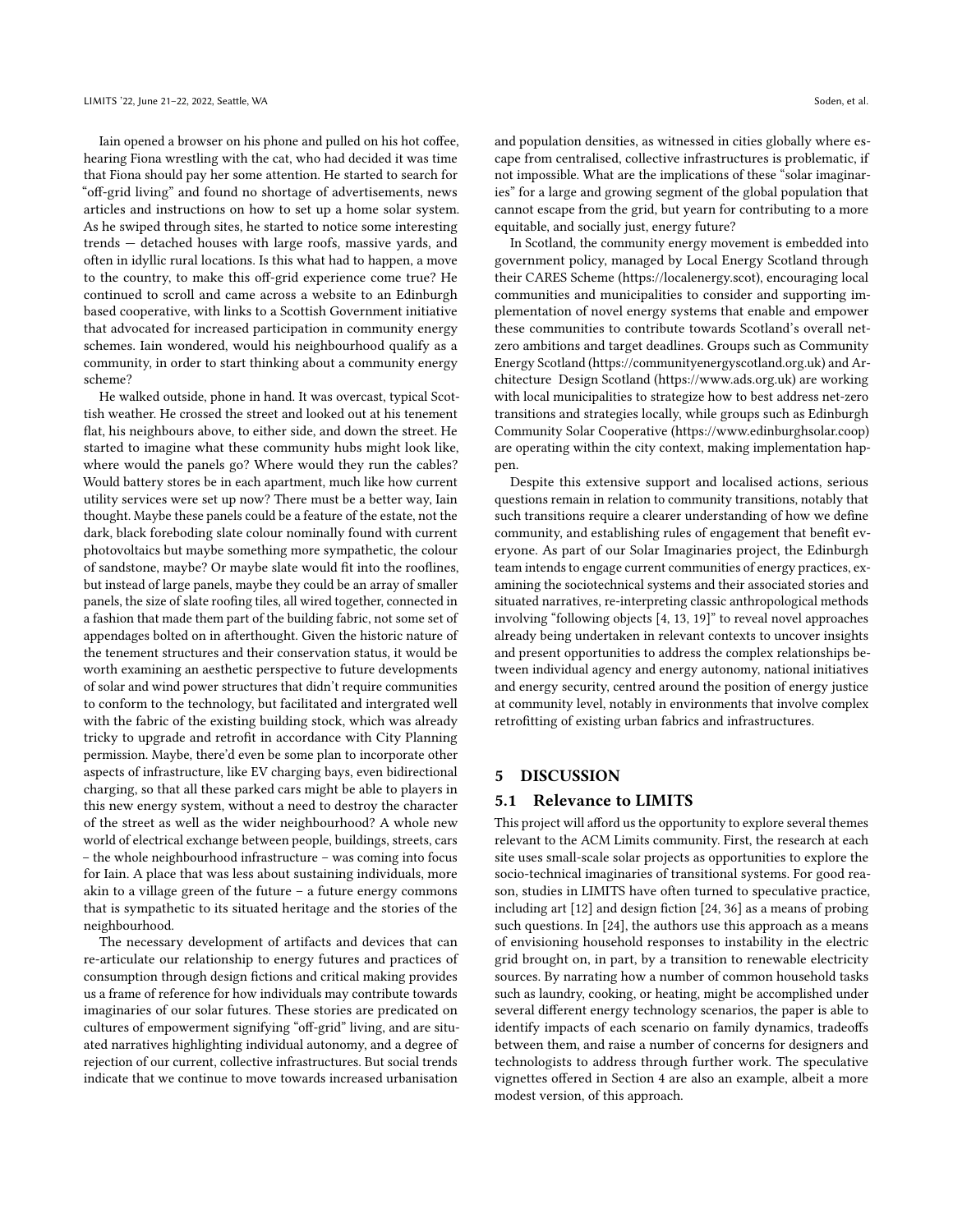Iain opened a browser on his phone and pulled on his hot coffee, hearing Fiona wrestling with the cat, who had decided it was time that Fiona should pay her some attention. He started to search for "off-grid living" and found no shortage of advertisements, news articles and instructions on how to set up a home solar system. As he swiped through sites, he started to notice some interesting trends — detached houses with large roofs, massive yards, and often in idyllic rural locations. Is this what had to happen, a move to the country, to make this off-grid experience come true? He continued to scroll and came across a website to an Edinburgh based cooperative, with links to a Scottish Government initiative that advocated for increased participation in community energy schemes. Iain wondered, would his neighbourhood qualify as a community, in order to start thinking about a community energy scheme?

He walked outside, phone in hand. It was overcast, typical Scottish weather. He crossed the street and looked out at his tenement flat, his neighbours above, to either side, and down the street. He started to imagine what these community hubs might look like, where would the panels go? Where would they run the cables? Would battery stores be in each apartment, much like how current utility services were set up now? There must be a better way, Iain thought. Maybe these panels could be a feature of the estate, not the dark, black foreboding slate colour nominally found with current photovoltaics but maybe something more sympathetic, the colour of sandstone, maybe? Or maybe slate would fit into the rooflines, but instead of large panels, maybe they could be an array of smaller panels, the size of slate roofing tiles, all wired together, connected in a fashion that made them part of the building fabric, not some set of appendages bolted on in afterthought. Given the historic nature of the tenement structures and their conservation status, it would be worth examining an aesthetic perspective to future developments of solar and wind power structures that didn't require communities to conform to the technology, but facilitated and intergrated well with the fabric of the existing building stock, which was already tricky to upgrade and retrofit in accordance with City Planning permission. Maybe, there'd even be some plan to incorporate other aspects of infrastructure, like EV charging bays, even bidirectional charging, so that all these parked cars might be able to players in this new energy system, without a need to destroy the character of the street as well as the wider neighbourhood? A whole new world of electrical exchange between people, buildings, streets, cars – the whole neighbourhood infrastructure – was coming into focus for Iain. A place that was less about sustaining individuals, more akin to a village green of the future – a future energy commons that is sympathetic to its situated heritage and the stories of the neighbourhood.

The necessary development of artifacts and devices that can re-articulate our relationship to energy futures and practices of consumption through design fictions and critical making provides us a frame of reference for how individuals may contribute towards imaginaries of our solar futures. These stories are predicated on cultures of empowerment signifying "off-grid" living, and are situated narratives highlighting individual autonomy, and a degree of rejection of our current, collective infrastructures. But social trends indicate that we continue to move towards increased urbanisation

and population densities, as witnessed in cities globally where escape from centralised, collective infrastructures is problematic, if not impossible. What are the implications of these "solar imaginaries" for a large and growing segment of the global population that cannot escape from the grid, but yearn for contributing to a more equitable, and socially just, energy future?

In Scotland, the community energy movement is embedded into government policy, managed by Local Energy Scotland through their CARES Scheme (https://localenergy.scot), encouraging local communities and municipalities to consider and supporting implementation of novel energy systems that enable and empower these communities to contribute towards Scotland's overall netzero ambitions and target deadlines. Groups such as Community Energy Scotland (https://communityenergyscotland.org.uk) and Architecture Design Scotland (https://www.ads.org.uk) are working with local municipalities to strategize how to best address net-zero transitions and strategies locally, while groups such as Edinburgh Community Solar Cooperative (https://www.edinburghsolar.coop) are operating within the city context, making implementation happen.

Despite this extensive support and localised actions, serious questions remain in relation to community transitions, notably that such transitions require a clearer understanding of how we define community, and establishing rules of engagement that benefit everyone. As part of our Solar Imaginaries project, the Edinburgh team intends to engage current communities of energy practices, examining the sociotechnical systems and their associated stories and situated narratives, re-interpreting classic anthropological methods involving "following objects [\[4,](#page-7-24) [13,](#page-7-25) [19\]](#page-7-26)" to reveal novel approaches already being undertaken in relevant contexts to uncover insights and present opportunities to address the complex relationships between individual agency and energy autonomy, national initiatives and energy security, centred around the position of energy justice at community level, notably in environments that involve complex retrofitting of existing urban fabrics and infrastructures.

#### 5 DISCUSSION

## 5.1 Relevance to LIMITS

This project will afford us the opportunity to explore several themes relevant to the ACM Limits community. First, the research at each site uses small-scale solar projects as opportunities to explore the socio-technical imaginaries of transitional systems. For good reason, studies in LIMITS have often turned to speculative practice, including art [\[12\]](#page-7-27) and design fiction [\[24,](#page-7-28) [36\]](#page-7-29) as a means of probing such questions. In [\[24\]](#page-7-28), the authors use this approach as a means of envisioning household responses to instability in the electric grid brought on, in part, by a transition to renewable electricity sources. By narrating how a number of common household tasks such as laundry, cooking, or heating, might be accomplished under several different energy technology scenarios, the paper is able to identify impacts of each scenario on family dynamics, tradeoffs between them, and raise a number of concerns for designers and technologists to address through further work. The speculative vignettes offered in Section 4 are also an example, albeit a more modest version, of this approach.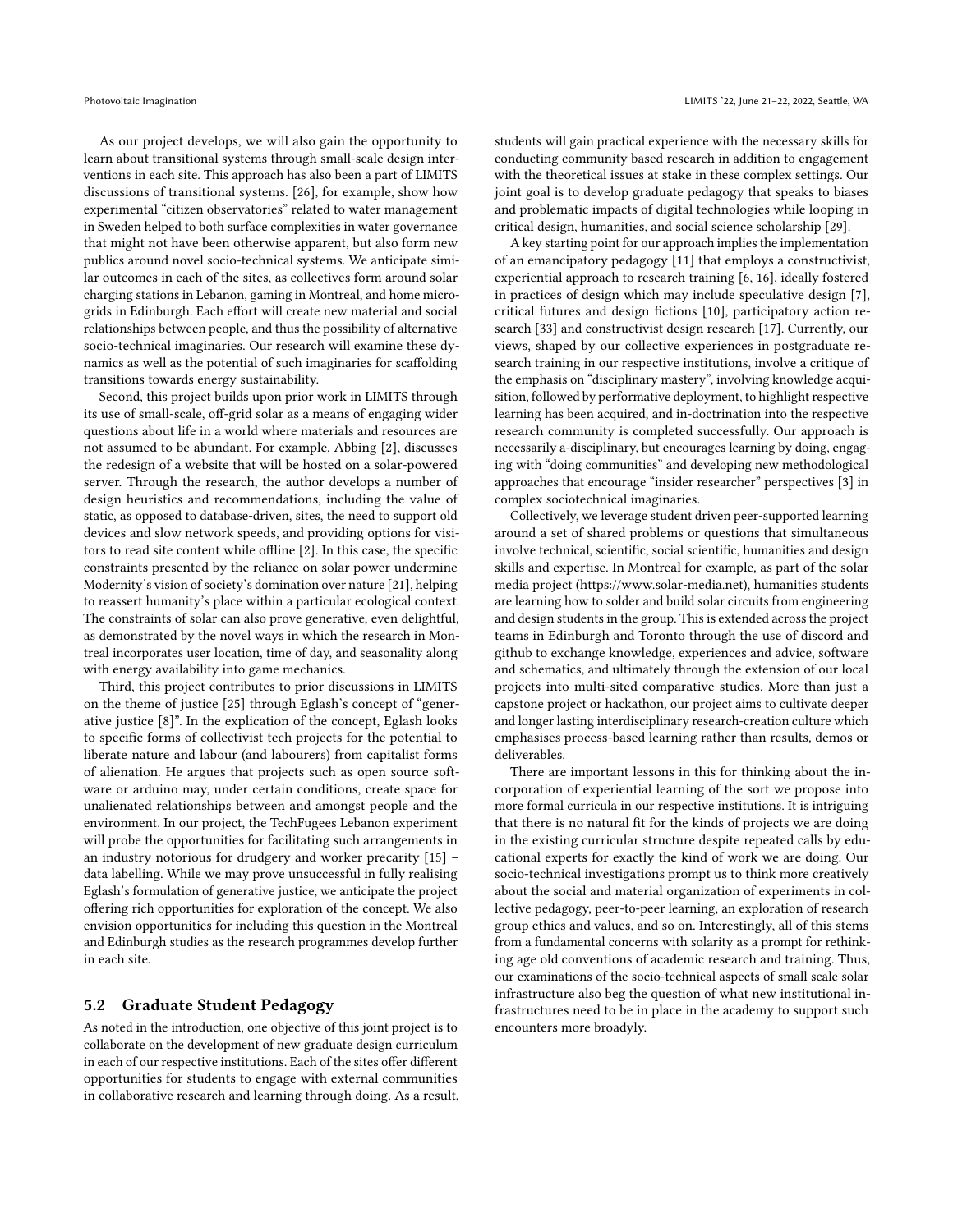As our project develops, we will also gain the opportunity to learn about transitional systems through small-scale design interventions in each site. This approach has also been a part of LIMITS discussions of transitional systems. [\[26\]](#page-7-7), for example, show how experimental "citizen observatories" related to water management in Sweden helped to both surface complexities in water governance that might not have been otherwise apparent, but also form new publics around novel socio-technical systems. We anticipate similar outcomes in each of the sites, as collectives form around solar charging stations in Lebanon, gaming in Montreal, and home microgrids in Edinburgh. Each effort will create new material and social relationships between people, and thus the possibility of alternative socio-technical imaginaries. Our research will examine these dynamics as well as the potential of such imaginaries for scaffolding transitions towards energy sustainability.

Second, this project builds upon prior work in LIMITS through its use of small-scale, off-grid solar as a means of engaging wider questions about life in a world where materials and resources are not assumed to be abundant. For example, Abbing [\[2\]](#page-7-6), discusses the redesign of a website that will be hosted on a solar-powered server. Through the research, the author develops a number of design heuristics and recommendations, including the value of static, as opposed to database-driven, sites, the need to support old devices and slow network speeds, and providing options for visitors to read site content while offline [\[2\]](#page-7-6). In this case, the specific constraints presented by the reliance on solar power undermine Modernity's vision of society's domination over nature [\[21\]](#page-7-30), helping to reassert humanity's place within a particular ecological context. The constraints of solar can also prove generative, even delightful, as demonstrated by the novel ways in which the research in Montreal incorporates user location, time of day, and seasonality along with energy availability into game mechanics.

Third, this project contributes to prior discussions in LIMITS on the theme of justice [\[25\]](#page-7-31) through Eglash's concept of "generative justice [\[8\]](#page-7-23)". In the explication of the concept, Eglash looks to specific forms of collectivist tech projects for the potential to liberate nature and labour (and labourers) from capitalist forms of alienation. He argues that projects such as open source software or arduino may, under certain conditions, create space for unalienated relationships between and amongst people and the environment. In our project, the TechFugees Lebanon experiment will probe the opportunities for facilitating such arrangements in an industry notorious for drudgery and worker precarity [\[15\]](#page-7-32) – data labelling. While we may prove unsuccessful in fully realising Eglash's formulation of generative justice, we anticipate the project offering rich opportunities for exploration of the concept. We also envision opportunities for including this question in the Montreal and Edinburgh studies as the research programmes develop further in each site.

## 5.2 Graduate Student Pedagogy

As noted in the introduction, one objective of this joint project is to collaborate on the development of new graduate design curriculum in each of our respective institutions. Each of the sites offer different opportunities for students to engage with external communities in collaborative research and learning through doing. As a result, students will gain practical experience with the necessary skills for conducting community based research in addition to engagement with the theoretical issues at stake in these complex settings. Our joint goal is to develop graduate pedagogy that speaks to biases and problematic impacts of digital technologies while looping in critical design, humanities, and social science scholarship [\[29\]](#page-7-19).

A key starting point for our approach implies the implementation of an emancipatory pedagogy [\[11\]](#page-7-33) that employs a constructivist, experiential approach to research training [\[6,](#page-7-34) [16\]](#page-7-35), ideally fostered in practices of design which may include speculative design [\[7\]](#page-7-36), critical futures and design fictions [\[10\]](#page-7-37), participatory action research [\[33\]](#page-7-38) and constructivist design research [\[17\]](#page-7-39). Currently, our views, shaped by our collective experiences in postgraduate research training in our respective institutions, involve a critique of the emphasis on "disciplinary mastery", involving knowledge acquisition, followed by performative deployment, to highlight respective learning has been acquired, and in-doctrination into the respective research community is completed successfully. Our approach is necessarily a-disciplinary, but encourages learning by doing, engaging with "doing communities" and developing new methodological approaches that encourage "insider researcher" perspectives [\[3\]](#page-7-40) in complex sociotechnical imaginaries.

Collectively, we leverage student driven peer-supported learning around a set of shared problems or questions that simultaneous involve technical, scientific, social scientific, humanities and design skills and expertise. In Montreal for example, as part of the solar media project (https://www.solar-media.net), humanities students are learning how to solder and build solar circuits from engineering and design students in the group. This is extended across the project teams in Edinburgh and Toronto through the use of discord and github to exchange knowledge, experiences and advice, software and schematics, and ultimately through the extension of our local projects into multi-sited comparative studies. More than just a capstone project or hackathon, our project aims to cultivate deeper and longer lasting interdisciplinary research-creation culture which emphasises process-based learning rather than results, demos or deliverables.

There are important lessons in this for thinking about the incorporation of experiential learning of the sort we propose into more formal curricula in our respective institutions. It is intriguing that there is no natural fit for the kinds of projects we are doing in the existing curricular structure despite repeated calls by educational experts for exactly the kind of work we are doing. Our socio-technical investigations prompt us to think more creatively about the social and material organization of experiments in collective pedagogy, peer-to-peer learning, an exploration of research group ethics and values, and so on. Interestingly, all of this stems from a fundamental concerns with solarity as a prompt for rethinking age old conventions of academic research and training. Thus, our examinations of the socio-technical aspects of small scale solar infrastructure also beg the question of what new institutional infrastructures need to be in place in the academy to support such encounters more broadyly.